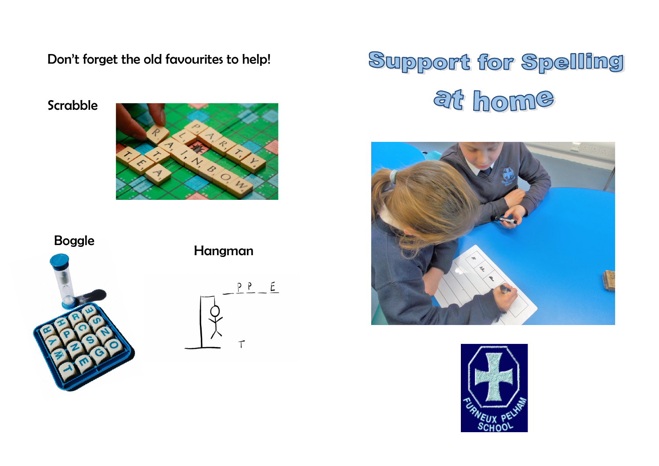Don't forget the old favourites to help!

Scrabble



Boggle



Hangman







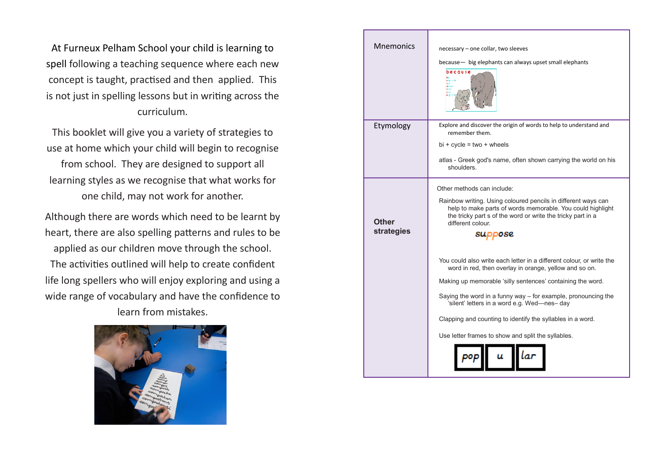At Furneux Pelham School your child is learning to spell following a teaching sequence where each new concept is taught, practised and then applied. This is not just in spelling lessons but in writing across the curriculum.

This booklet will give you a variety of strategies to use at home which your child will begin to recognise from school. They are designed to support all learning styles as we recognise that what works for one child, may not work for another.

Although there are words which need to be learnt by heart, there are also spelling patterns and rules to be applied as our children move through the school. The activities outlined will help to create confident life long spellers who will enjoy exploring and using a wide range of vocabulary and have the confidence to learn from mistakes.



| <b>Mnemonics</b>    | necessary - one collar, two sleeves<br>because - big elephants can always upset small elephants<br>because<br>$\widetilde{\mathbf{e}}$ ipronis<br>diam.                                                                                                                                                                                                                                                                             |  |  |  |
|---------------------|-------------------------------------------------------------------------------------------------------------------------------------------------------------------------------------------------------------------------------------------------------------------------------------------------------------------------------------------------------------------------------------------------------------------------------------|--|--|--|
| Etymology           | Explore and discover the origin of words to help to understand and<br>remember them.<br>$bi + cycle = two + wheels$<br>atlas - Greek god's name, often shown carrying the world on his<br>shoulders.                                                                                                                                                                                                                                |  |  |  |
| Other<br>strategies | Other methods can include:<br>Rainbow writing. Using coloured pencils in different ways can<br>help to make parts of words memorable. You could highlight<br>the tricky part s of the word or write the tricky part in a<br>different colour.<br>suppose                                                                                                                                                                            |  |  |  |
|                     | You could also write each letter in a different colour, or write the<br>word in red, then overlay in orange, yellow and so on.<br>Making up memorable 'silly sentences' containing the word.<br>Saying the word in a funny way $-$ for example, pronouncing the<br>'silent' letters in a word e.g. Wed-nes- day<br>Clapping and counting to identify the syllables in a word.<br>Use letter frames to show and split the syllables. |  |  |  |